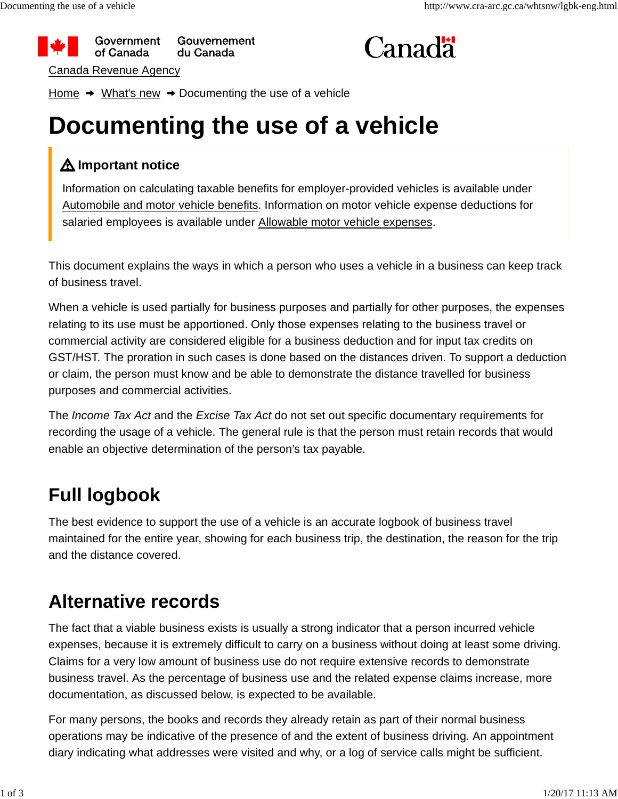



Home  $\rightarrow$  What's new  $\rightarrow$  Documenting the use of a vehicle

# **Documenting the use of a vehicle**

#### **Important notice**

Information on calculating taxable benefits for employer-provided vehicles is available under Automobile and motor vehicle benefits. Information on motor vehicle expense deductions for salaried employees is available under Allowable motor vehicle expenses.

This document explains the ways in which a person who uses a vehicle in a business can keep track of business travel.

When a vehicle is used partially for business purposes and partially for other purposes, the expenses relating to its use must be apportioned. Only those expenses relating to the business travel or commercial activity are considered eligible for a business deduction and for input tax credits on GST/HST. The proration in such cases is done based on the distances driven. To support a deduction or claim, the person must know and be able to demonstrate the distance travelled for business purposes and commercial activities.

The *Income Tax Act* and the *Excise Tax Act* do not set out specific documentary requirements for recording the usage of a vehicle. The general rule is that the person must retain records that would enable an objective determination of the person's tax payable.

## **Full logbook**

The best evidence to support the use of a vehicle is an accurate logbook of business travel maintained for the entire year, showing for each business trip, the destination, the reason for the trip and the distance covered.

### **Alternative records**

The fact that a viable business exists is usually a strong indicator that a person incurred vehicle expenses, because it is extremely difficult to carry on a business without doing at least some driving. Claims for a very low amount of business use do not require extensive records to demonstrate business travel. As the percentage of business use and the related expense claims increase, more documentation, as discussed below, is expected to be available.

For many persons, the books and records they already retain as part of their normal business operations may be indicative of the presence of and the extent of business driving. An appointment diary indicating what addresses were visited and why, or a log of service calls might be sufficient.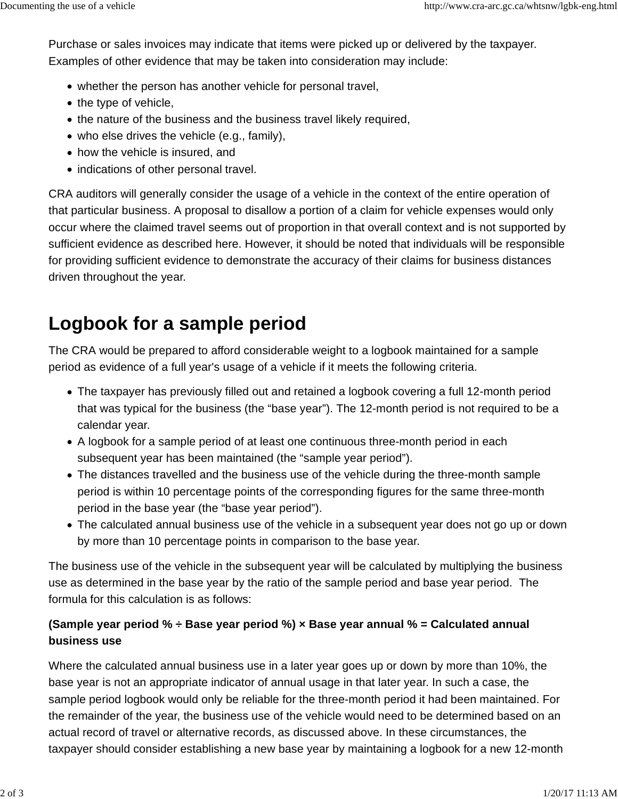Purchase or sales invoices may indicate that items were picked up or delivered by the taxpayer. Examples of other evidence that may be taken into consideration may include:

- whether the person has another vehicle for personal travel,
- $\bullet$  the type of vehicle,
- the nature of the business and the business travel likely required,
- $\bullet$  who else drives the vehicle (e.g., family),
- how the vehicle is insured, and
- indications of other personal travel.

CRA auditors will generally consider the usage of a vehicle in the context of the entire operation of that particular business. A proposal to disallow a portion of a claim for vehicle expenses would only occur where the claimed travel seems out of proportion in that overall context and is not supported by sufficient evidence as described here. However, it should be noted that individuals will be responsible for providing sufficient evidence to demonstrate the accuracy of their claims for business distances driven throughout the year.

### **Logbook for a sample period**

The CRA would be prepared to afford considerable weight to a logbook maintained for a sample period as evidence of a full year's usage of a vehicle if it meets the following criteria.

- The taxpayer has previously filled out and retained a logbook covering a full 12-month period that was typical for the business (the "base year"). The 12-month period is not required to be a calendar year.
- A logbook for a sample period of at least one continuous three-month period in each subsequent year has been maintained (the "sample year period").
- The distances travelled and the business use of the vehicle during the three-month sample period is within 10 percentage points of the corresponding figures for the same three-month period in the base year (the "base year period").
- The calculated annual business use of the vehicle in a subsequent year does not go up or down by more than 10 percentage points in comparison to the base year.

The business use of the vehicle in the subsequent year will be calculated by multiplying the business use as determined in the base year by the ratio of the sample period and base year period. The formula for this calculation is as follows:

#### **(Sample year period % ÷ Base year period %) × Base year annual % = Calculated annual business use**

Where the calculated annual business use in a later year goes up or down by more than 10%, the base year is not an appropriate indicator of annual usage in that later year. In such a case, the sample period logbook would only be reliable for the three-month period it had been maintained. For the remainder of the year, the business use of the vehicle would need to be determined based on an actual record of travel or alternative records, as discussed above. In these circumstances, the taxpayer should consider establishing a new base year by maintaining a logbook for a new 12-month